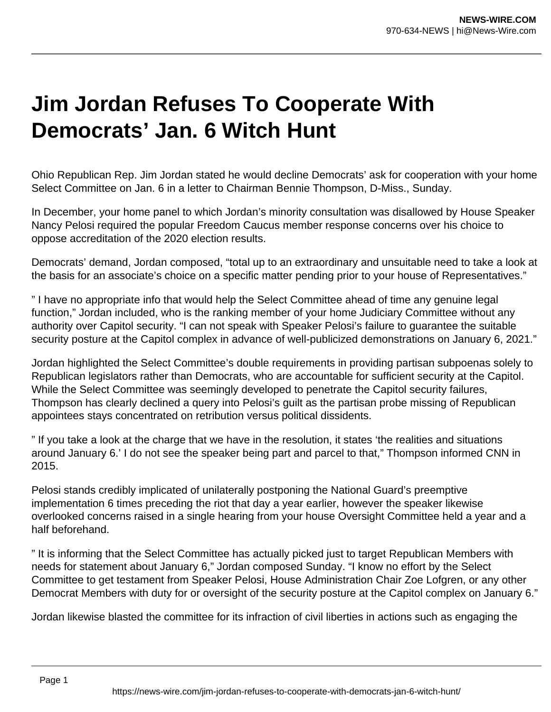## **Jim Jordan Refuses To Cooperate With Democrats' Jan. 6 Witch Hunt**

Ohio Republican Rep. Jim Jordan stated he would decline Democrats' ask for cooperation with your home Select Committee on Jan. 6 in a letter to Chairman Bennie Thompson, D-Miss., Sunday.

In December, your home panel to which Jordan's minority consultation was disallowed by House Speaker Nancy Pelosi required the popular Freedom Caucus member response concerns over his choice to oppose accreditation of the 2020 election results.

Democrats' demand, Jordan composed, "total up to an extraordinary and unsuitable need to take a look at the basis for an associate's choice on a specific matter pending prior to your house of Representatives."

" I have no appropriate info that would help the Select Committee ahead of time any genuine legal function," Jordan included, who is the ranking member of your home Judiciary Committee without any authority over Capitol security. "I can not speak with Speaker Pelosi's failure to guarantee the suitable security posture at the Capitol complex in advance of well-publicized demonstrations on January 6, 2021."

Jordan highlighted the Select Committee's double requirements in providing partisan subpoenas solely to Republican legislators rather than Democrats, who are accountable for sufficient security at the Capitol. While the Select Committee was seemingly developed to penetrate the Capitol security failures, Thompson has clearly declined a query into Pelosi's guilt as the partisan probe missing of Republican appointees stays concentrated on retribution versus political dissidents.

" If you take a look at the charge that we have in the resolution, it states 'the realities and situations around January 6.' I do not see the speaker being part and parcel to that," Thompson informed CNN in 2015.

Pelosi stands credibly implicated of unilaterally postponing the National Guard's preemptive implementation 6 times preceding the riot that day a year earlier, however the speaker likewise overlooked concerns raised in a single hearing from your house Oversight Committee held a year and a half beforehand.

" It is informing that the Select Committee has actually picked just to target Republican Members with needs for statement about January 6," Jordan composed Sunday. "I know no effort by the Select Committee to get testament from Speaker Pelosi, House Administration Chair Zoe Lofgren, or any other Democrat Members with duty for or oversight of the security posture at the Capitol complex on January 6."

Jordan likewise blasted the committee for its infraction of civil liberties in actions such as engaging the